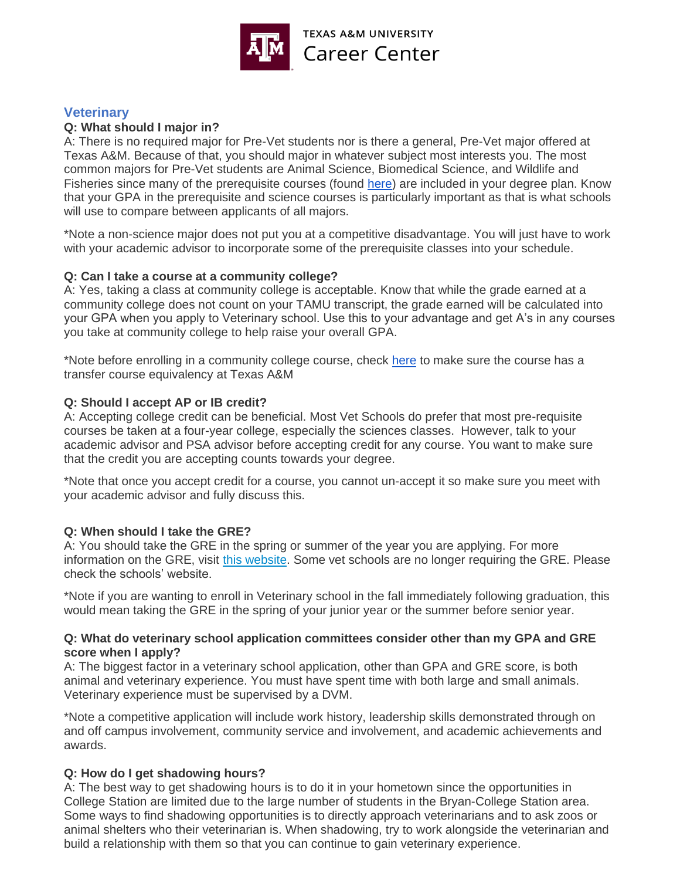

# **Veterinary**

# **Q: What should I major in?**

A: There is no required major for Pre-Vet students nor is there a general, Pre-Vet major offered at Texas A&M. Because of that, you should major in whatever subject most interests you. The most common majors for Pre-Vet students are Animal Science, Biomedical Science, and Wildlife and Fisheries since many of the prerequisite courses (found [here\)](https://careercenter.tamu.edu/Documents/PSA/Handouts/Professions/Veterinary-Medicine) are included in your degree plan. Know that your GPA in the prerequisite and science courses is particularly important as that is what schools will use to compare between applicants of all majors.

\*Note a non-science major does not put you at a competitive disadvantage. You will just have to work with your academic advisor to incorporate some of the prerequisite classes into your schedule.

### **Q: Can I take a course at a community college?**

A: Yes, taking a class at community college is acceptable. Know that while the grade earned at a community college does not count on your TAMU transcript, the grade earned will be calculated into your GPA when you apply to Veterinary school. Use this to your advantage and get A's in any courses you take at community college to help raise your overall GPA.

\*Note before enrolling in a community college course, check [here](https://howdy.tamu.edu/uPortal/p/tce-ui.ctf1/max/render.uP) to make sure the course has a transfer course equivalency at Texas A&M

### **Q: Should I accept AP or IB credit?**

A: Accepting college credit can be beneficial. Most Vet Schools do prefer that most pre-requisite courses be taken at a four-year college, especially the sciences classes. However, talk to your academic advisor and PSA advisor before accepting credit for any course. You want to make sure that the credit you are accepting counts towards your degree.

\*Note that once you accept credit for a course, you cannot un-accept it so make sure you meet with your academic advisor and fully discuss this.

## **Q: When should I take the GRE?**

A: You should take the GRE in the spring or summer of the year you are applying. For more information on the GRE, visit [this website.](http://www.ets.org/gre) Some vet schools are no longer requiring the GRE. Please check the schools' website.

\*Note if you are wanting to enroll in Veterinary school in the fall immediately following graduation, this would mean taking the GRE in the spring of your junior year or the summer before senior year.

### **Q: What do veterinary school application committees consider other than my GPA and GRE score when I apply?**

A: The biggest factor in a veterinary school application, other than GPA and GRE score, is both animal and veterinary experience. You must have spent time with both large and small animals. Veterinary experience must be supervised by a DVM.

\*Note a competitive application will include work history, leadership skills demonstrated through on and off campus involvement, community service and involvement, and academic achievements and awards.

## **Q: How do I get shadowing hours?**

A: The best way to get shadowing hours is to do it in your hometown since the opportunities in College Station are limited due to the large number of students in the Bryan-College Station area. Some ways to find shadowing opportunities is to directly approach veterinarians and to ask zoos or animal shelters who their veterinarian is. When shadowing, try to work alongside the veterinarian and build a relationship with them so that you can continue to gain veterinary experience.